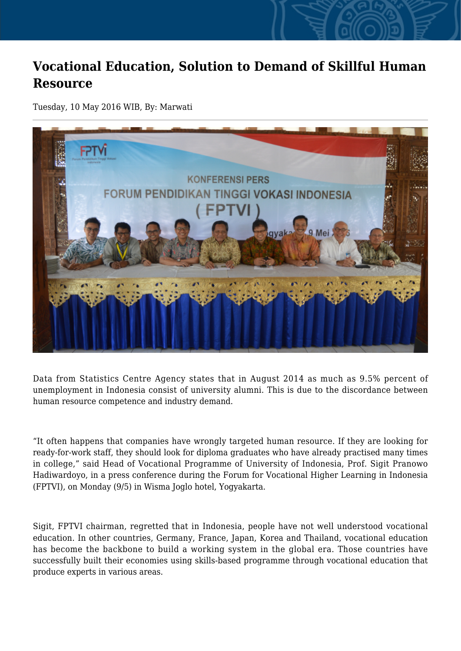## **Vocational Education, Solution to Demand of Skillful Human Resource**

Tuesday, 10 May 2016 WIB, By: Marwati



Data from Statistics Centre Agency states that in August 2014 as much as 9.5% percent of unemployment in Indonesia consist of university alumni. This is due to the discordance between human resource competence and industry demand.

"It often happens that companies have wrongly targeted human resource. If they are looking for ready-for-work staff, they should look for diploma graduates who have already practised many times in college," said Head of Vocational Programme of University of Indonesia, Prof. Sigit Pranowo Hadiwardoyo, in a press conference during the Forum for Vocational Higher Learning in Indonesia (FPTVI), on Monday (9/5) in Wisma Joglo hotel, Yogyakarta.

Sigit, FPTVI chairman, regretted that in Indonesia, people have not well understood vocational education. In other countries, Germany, France, Japan, Korea and Thailand, vocational education has become the backbone to build a working system in the global era. Those countries have successfully built their economies using skills-based programme through vocational education that produce experts in various areas.